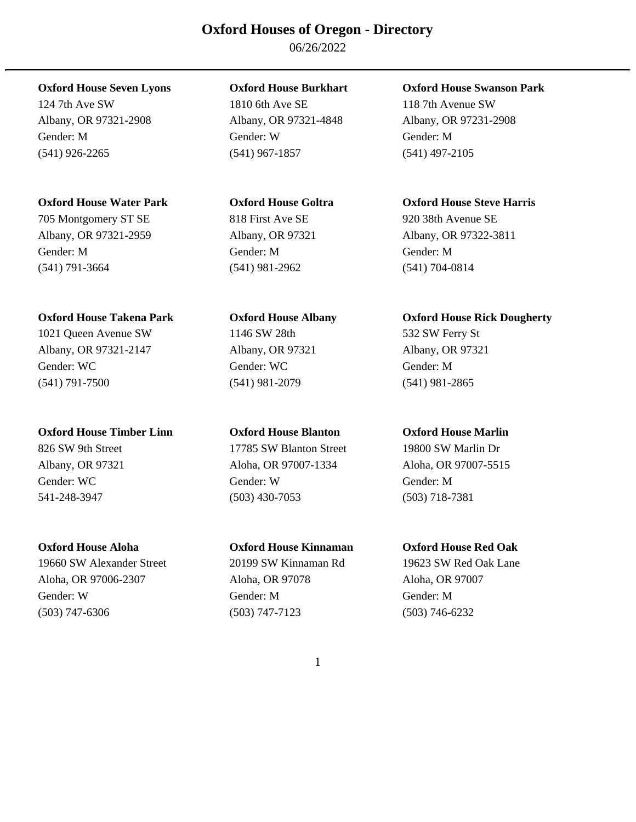06/26/2022

Albany, OR 97321-2908 Albany, OR 97321-4848 Albany, OR 97231-2908 Gender: M Gender: W Gender: M (541) 926-2265 (541) 967-1857 (541) 497-2105

### **Oxford House Water Park Oxford House Goltra Oxford House Steve Harris**

705 Montgomery ST SE 818 First Ave SE 920 38th Avenue SE Albany, OR 97321-2959 Albany, OR 97321 Albany, OR 97322-3811 Gender: M Gender: M Gender: M (541) 791-3664 (541) 981-2962 (541) 704-0814

Albany, OR 97321-2147 Albany, OR 97321 Albany, OR 97321 Gender: WC Gender: WC Gender: M (541) 791-7500 (541) 981-2079 (541) 981-2865

### **Oxford House Timber Linn Oxford House Blanton Oxford House Marlin**

19660 SW Alexander Street 20199 SW Kinnaman Rd 19623 SW Red Oak Lane Aloha, OR 97006-2307 Aloha, OR 97078 Aloha, OR 97007 Gender: W Gender: M Gender: M (503) 747-6306 (503) 747-7123 (503) 746-6232

124 7th Ave SW 1810 6th Ave SE 118 7th Avenue SW

# 1021 Queen Avenue SW 1146 SW 28th 532 SW Ferry St

826 SW 9th Street 17785 SW Blanton Street 19800 SW Marlin Dr Albany, OR 97321 Aloha, OR 97007-1334 Aloha, OR 97007-5515 Gender: WC Gender: W Gender: M 541-248-3947 (503) 430-7053 (503) 718-7381

### **Oxford House Seven Lyons Oxford House Burkhart Oxford House Swanson Park**

### Oxford House Takena Park **Oxford House Albany Oxford House Rick Dougherty**

### **Oxford House Aloha Oxford House Kinnaman Oxford House Red Oak**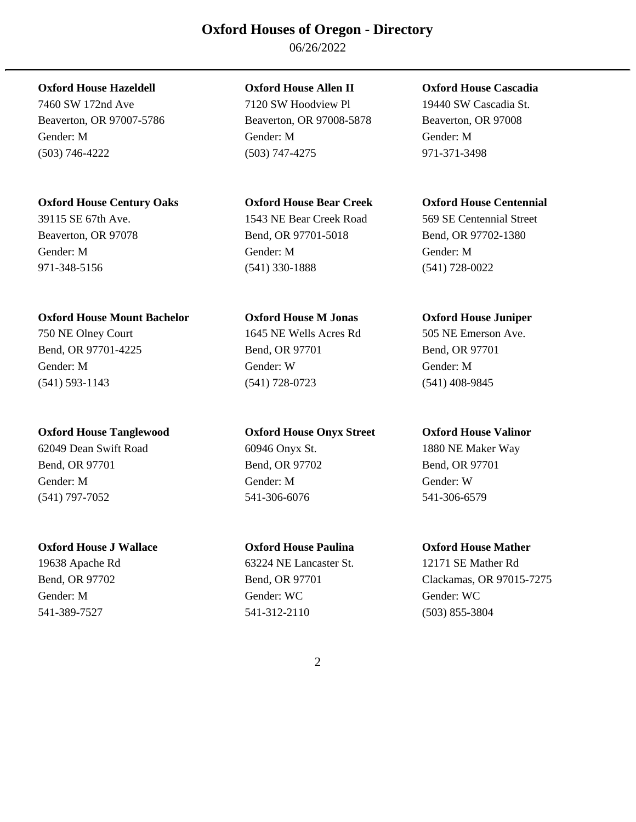06/26/2022

### **Oxford House Hazeldell Oxford House Allen II Oxford House Cascadia**

### **Oxford House Century Oaks Oxford House Bear Creek Oxford House Centennial**

### **Oxford House Mount Bachelor Oxford House M Jonas Oxford House Juniper**

750 NE Olney Court 1645 NE Wells Acres Rd 505 NE Emerson Ave.

### **Oxford House Tanglewood Oxford House Onyx Street Oxford House Valinor**

62049 Dean Swift Road 60946 Onyx St. 1880 NE Maker Way Bend, OR 97701 Bend, OR 97702 Bend, OR 97701 Gender: M Gender: M Gender: W (541) 797-7052 541-306-6076 541-306-6579

### **Oxford House J Wallace Oxford House Paulina Oxford House Mather**

7460 SW 172nd Ave 7120 SW Hoodview Pl 19440 SW Cascadia St. Beaverton, OR 97007-5786 Beaverton, OR 97008-5878 Beaverton, OR 97008 Gender: M Gender: M Gender: M (503) 746-4222 (503) 747-4275 971-371-3498

Beaverton, OR 97078 Bend, OR 97701-5018 Bend, OR 97702-1380 Gender: M Gender: M Gender: M 971-348-5156 (541) 330-1888 (541) 728-0022

Bend, OR 97701-4225 Bend, OR 97701 Bend, OR 97701 Gender: M Gender: W Gender: M (541) 593-1143 (541) 728-0723 (541) 408-9845

19638 Apache Rd 63224 NE Lancaster St. 12171 SE Mather Rd Gender: M Gender: WC Gender: WC 541-389-7527 541-312-2110 (503) 855-3804

39115 SE 67th Ave. 1543 NE Bear Creek Road 569 SE Centennial Street

Bend, OR 97702 **Bend, OR 97701** Clackamas, OR 97015-7275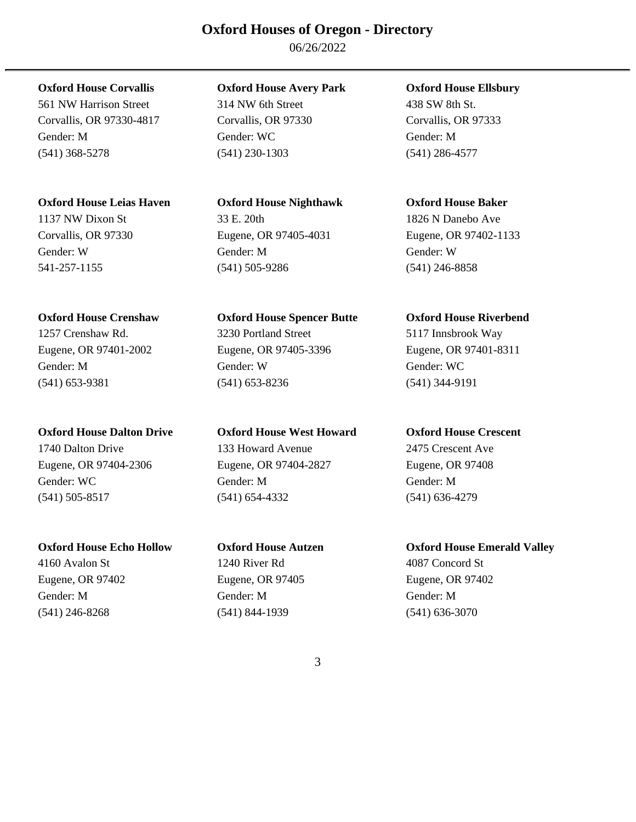06/26/2022

561 NW Harrison Street 314 NW 6th Street 438 SW 8th St. Corvallis, OR 97330-4817 Corvallis, OR 97330 Corvallis, OR 97333 Gender: M Gender: WC Gender: M (541) 368-5278 (541) 230-1303 (541) 286-4577

### **Oxford House Leias Haven Oxford House Nighthawk Oxford House Baker**

### **Oxford House Corvallis Oxford House Avery Park Oxford House Ellsbury**

### 1137 NW Dixon St 33 E. 20th 1826 N Danebo Ave Corvallis, OR 97330 Eugene, OR 97405-4031 Eugene, OR 97402-1133 Gender: W Gender: M Gender: W 541-257-1155 (541) 505-9286 (541) 246-8858

**Oxford House Crenshaw Oxford House Spencer Butte Oxford House Riverbend**  1257 Crenshaw Rd. 3230 Portland Street 5117 Innsbrook Way Eugene, OR 97401-2002 Eugene, OR 97405-3396 Eugene, OR 97401-8311 Gender: M Gender: W Gender: W Gender: W Gender: W Gender: W Gender: W C (541) 653-9381 (541) 653-8236 (541) 344-9191

**Oxford House Dalton Drive Oxford House West Howard Oxford House Crescent**  1740 Dalton Drive 133 Howard Avenue 2475 Crescent Ave Eugene, OR 97404-2306 Eugene, OR 97404-2827 Eugene, OR 97408 Gender: WC Gender: M Gender: M Gender: M Gender: M (541) 505-8517 (541) 654-4332 (541) 636-4279

## 4160 Avalon St 1240 River Rd 4087 Concord St Eugene, OR 97402 Eugene, OR 97405 Eugene, OR 97402 Gender: M Gender: M Gender: M (541) 246-8268 (541) 844-1939 (541) 636-3070

### **Oxford House Echo Hollow Oxford House Autzen Oxford House Emerald Valley**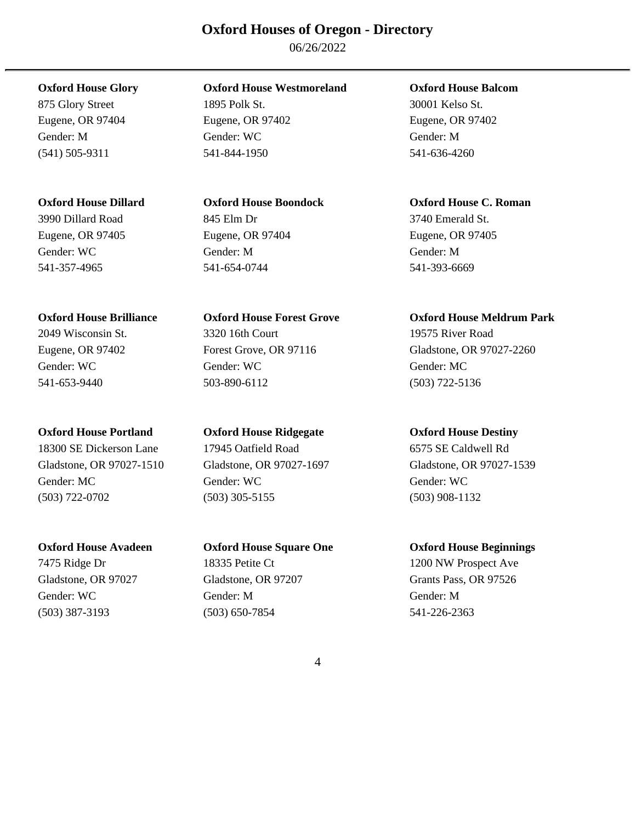06/26/2022

875 Glory Street 1895 Polk St. 30001 Kelso St.

3990 Dillard Road 845 Elm Dr 3740 Emerald St. Eugene, OR 97405 Eugene, OR 97404 Eugene, OR 97405 Gender: WC Gender: M Gender: M 541-357-4965 541-654-0744 541-393-6669

Gladstone, OR 97027-1510 Gladstone, OR 97027-1697 Gladstone, OR 97027-1539 Gender: MC Gender: WC Gender: WC Gender: WC (503) 722-0702 (503) 305-5155 (503) 908-1132

**Oxford House Glory Oxford House Westmoreland Oxford House Balcom** 

Eugene, OR 97404 Eugene, OR 97402 Eugene, OR 97402 Gender: M Gender: WC Gender: M (541) 505-9311 541-844-1950 541-636-4260

2049 Wisconsin St. 3320 16th Court 19575 River Road Gender: WC Gender: WC Gender: WC Gender: MC Gender: MC 541-653-9440 503-890-6112 (503) 722-5136

### **Oxford House Portland Oxford House Ridgegate Oxford House Destiny**

18300 SE Dickerson Lane 17945 Oatfield Road 6575 SE Caldwell Rd

Gender: WC Gender: M Gender: M (503) 387-3193 (503) 650-7854 541-226-2363

### **Oxford House Dillard Oxford House Boondock Oxford House C. Roman**

### **Oxford House Brilliance Oxford House Forest Grove Oxford House Meldrum Park**

Eugene, OR 97402 Forest Grove, OR 97116 Gladstone, OR 97027-2260

### **Oxford House Avadeen Oxford House Square One Oxford House Beginnings**

7475 Ridge Dr 18335 Petite Ct 1200 NW Prospect Ave Gladstone, OR 97027 Gladstone, OR 97207 Grants Pass, OR 97526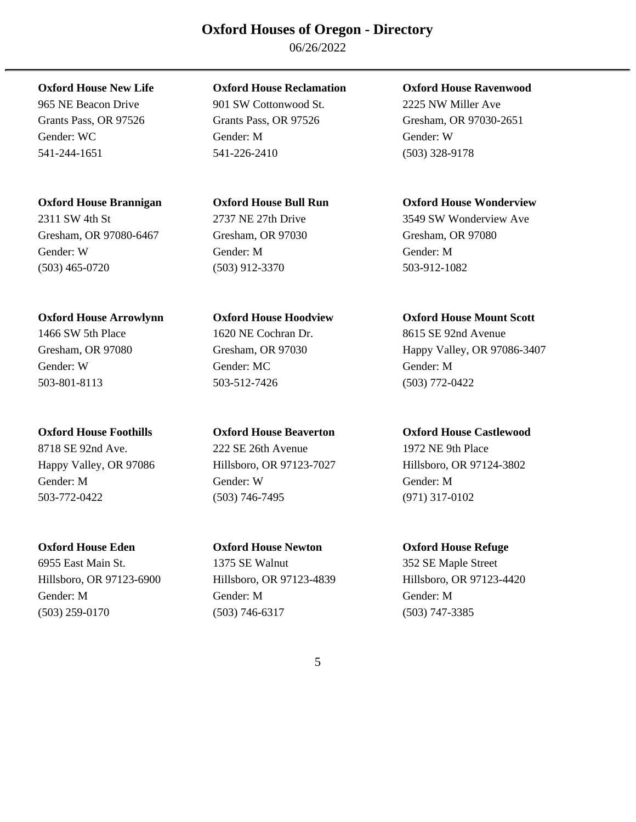06/26/2022

Gresham, OR 97080-6467 Gresham, OR 97030 Gresham, OR 97080 Gender: W Gender: M Gender: M (503) 465-0720 (503) 912-3370 503-912-1082

### **Oxford House Arrowlynn Oxford House Hoodview Oxford House Mount Scott**

6955 East Main St. 1375 SE Walnut 352 SE Maple Street Hillsboro, OR 97123-6900 Hillsboro, OR 97123-4839 Hillsboro, OR 97123-4420 Gender: M Gender: M Gender: M (503) 259-0170 (503) 746-6317 (503) 747-3385

### **Oxford House New Life Oxford House Reclamation Oxford House Ravenwood**

965 NE Beacon Drive 901 SW Cottonwood St. 2225 NW Miller Ave Gender: WC Gender: M Gender: M Gender: W Gender: W 541-244-1651 541-226-2410 (503) 328-9178

1466 SW 5th Place 1620 NE Cochran Dr. 8615 SE 92nd Avenue Gender: W Gender: MC Gender: M 503-801-8113 503-512-7426 (503) 772-0422

8718 SE 92nd Ave. 222 SE 26th Avenue 1972 NE 9th Place Gender: M Gender: W Gender: M 503-772-0422 (503) 746-7495 (971) 317-0102

### **Oxford House Eden Oxford House Newton Oxford House Refuge**

Grants Pass, OR 97526 Grants Pass, OR 97526 Gresham, OR 97030-2651

### **Oxford House Brannigan Oxford House Bull Run Oxford House Wonderview**

2311 SW 4th St 2737 NE 27th Drive 3549 SW Wonderview Ave

Gresham, OR 97080 Gresham, OR 97030 Happy Valley, OR 97086-3407

### **Oxford House Foothills Oxford House Beaverton Oxford House Castlewood**

Happy Valley, OR 97086 Hillsboro, OR 97123-7027 Hillsboro, OR 97124-3802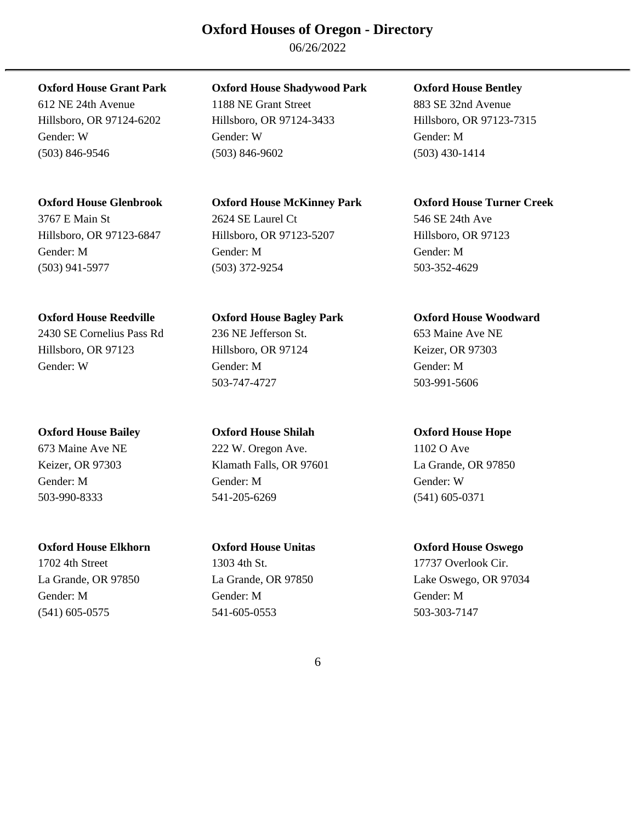06/26/2022

Gender: M Gender: M Gender: M (503) 941-5977 (503) 372-9254 503-352-4629

2430 SE Cornelius Pass Rd 236 NE Jefferson St. 653 Maine Ave NE Hillsboro, OR 97123 Hillsboro, OR 97124 Keizer, OR 97303 Gender: W Gender: M Gender: M

### **Oxford House Elkhorn Oxford House Unitas Oxford House Oswego**

1702 4th Street 1303 4th St. 17737 Overlook Cir.

### **Oxford House Grant Park Oxford House Shadywood Park Oxford House Bentley**

612 NE 24th Avenue 1188 NE Grant Street 883 SE 32nd Avenue Hillsboro, OR 97124-6202 Hillsboro, OR 97124-3433 Hillsboro, OR 97123-7315 Gender: W Gender: W Gender: M (503) 846-9546 (503) 846-9602 (503) 430-1414

# 3767 E Main St 2624 SE Laurel Ct 546 SE 24th Ave Hillsboro, OR 97123-6847 Hillsboro, OR 97123-5207 Hillsboro, OR 97123

**Oxford House Reedville Oxford House Bagley Park Oxford House Woodward**  503-747-4727 503-991-5606

**Oxford House Bailey Oxford House Shilah Oxford House Hope**  673 Maine Ave NE 222 W. Oregon Ave. 1102 O Ave Keizer, OR 97303 Klamath Falls, OR 97601 La Grande, OR 97850

Gender: M Gender: M Gender: W 503-990-8333 541-205-6269 (541) 605-0371

Gender: M Gender: M Gender: M (541) 605-0575 541-605-0553 503-303-7147

### **Oxford House Glenbrook Oxford House McKinney Park Oxford House Turner Creek**

La Grande, OR 97850 La Grande, OR 97850 Lake Oswego, OR 97034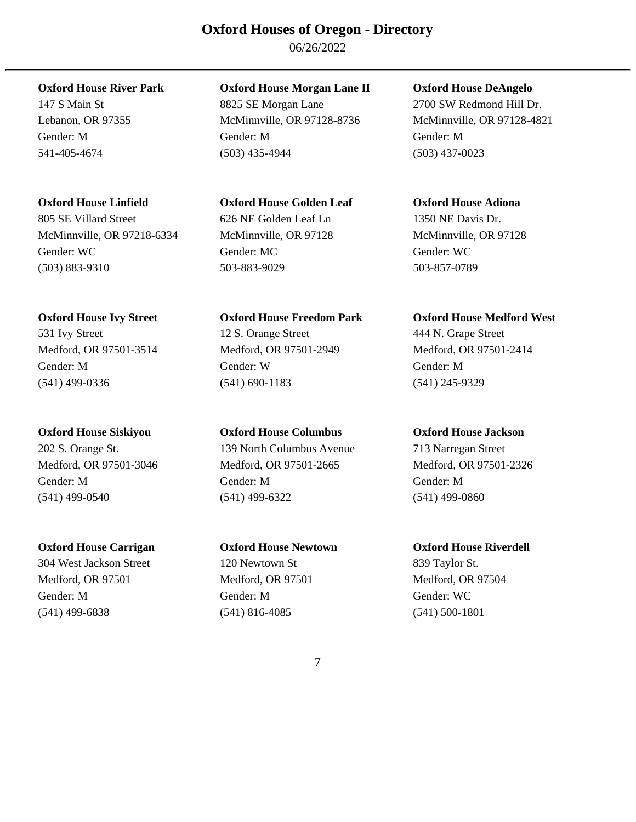06/26/2022

**Oxford House Linfield Oxford House Golden Leaf Oxford House Adiona** 

805 SE Villard Street 626 NE Golden Leaf Ln 1350 NE Davis Dr. McMinnville, OR 97218-6334 McMinnville, OR 97128 McMinnville, OR 97128 Gender: WC Gender: MC Gender: WC (503) 883-9310 503-883-9029 503-857-0789

**Oxford House River Park Oxford House Morgan Lane II Oxford House DeAngelo** 

147 S Main St 8825 SE Morgan Lane 2700 SW Redmond Hill Dr. Lebanon, OR 97355 McMinnville, OR 97128-8736 McMinnville, OR 97128-4821 Gender: M Gender: M Gender: M 541-405-4674 (503) 435-4944 (503) 437-0023

531 Ivy Street 12 S. Orange Street 444 N. Grape Street Medford, OR 97501-3514 Medford, OR 97501-2949 Medford, OR 97501-2414 Gender: M Gender: W Gender: M (541) 499-0336 (541) 690-1183 (541) 245-9329

**Oxford House Siskiyou Oxford House Columbus Oxford House Jackson**  202 S. Orange St. 139 North Columbus Avenue 713 Narregan Street Medford, OR 97501-3046 Medford, OR 97501-2665 Medford, OR 97501-2326 Gender: M Gender: M Gender: M (541) 499-0540 (541) 499-6322 (541) 499-0860

**Oxford House Carrigan Oxford House Newtown Oxford House Riverdell**  304 West Jackson Street 120 Newtown St 839 Taylor St. Medford, OR 97501 Medford, OR 97501 Medford, OR 97504 Gender: M Gender: M Gender: WC (541) 499-6838 (541) 816-4085 (541) 500-1801

### **Oxford House Ivy Street Oxford House Freedom Park Oxford House Medford West**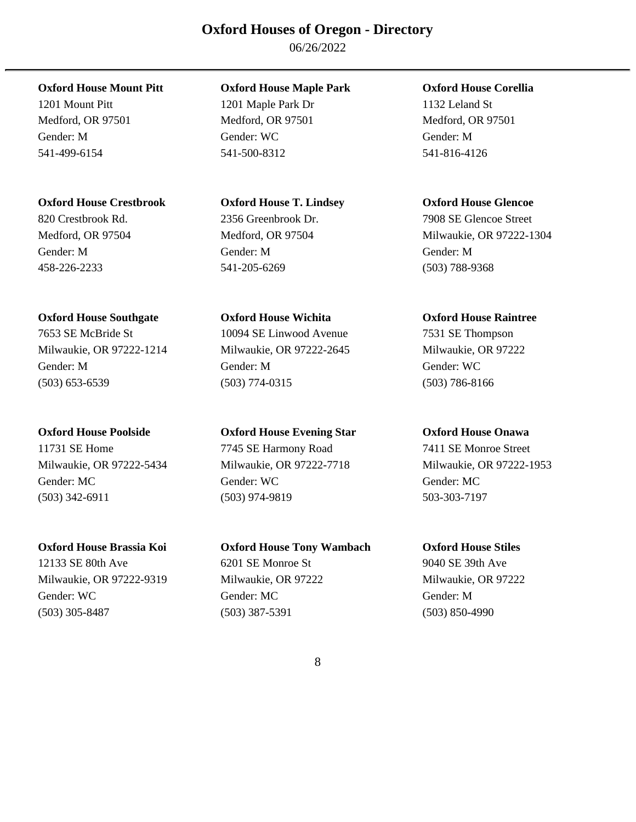06/26/2022

### **Oxford House Crestbrook Oxford House T. Lindsey Oxford House Glencoe**

### **Oxford House Southgate Oxford House Wichita Oxford House Raintree**

7653 SE McBride St 10094 SE Linwood Avenue 7531 SE Thompson Milwaukie, OR 97222-1214 Milwaukie, OR 97222-2645 Milwaukie, OR 97222 Gender: M Gender: M Gender: WC (503) 653-6539 (503) 774-0315 (503) 786-8166

Gender: MC Gender: WC Gender: MC (503) 342-6911 (503) 974-9819 503-303-7197

### **Oxford House Mount Pitt Oxford House Maple Park Oxford House Corellia**

1201 Mount Pitt 1201 Maple Park Dr 1132 Leland St Medford, OR 97501 Medford, OR 97501 Medford, OR 97501 Gender: M Gender: WC Gender: M 541-499-6154 541-500-8312 541-816-4126

# 820 Crestbrook Rd. 2356 Greenbrook Dr. 7908 SE Glencoe Street Gender: M Gender: M Gender: M 458-226-2233 541-205-6269 (503) 788-9368

### **Oxford House Poolside Oxford House Evening Star Oxford House Onawa**  11731 SE Home 7745 SE Harmony Road 7411 SE Monroe Street

### **Oxford House Brassia Koi Oxford House Tony Wambach Oxford House Stiles**  12133 SE 80th Ave 6201 SE Monroe St 9040 SE 39th Ave Milwaukie, OR 97222-9319 Milwaukie, OR 97222 Milwaukie, OR 97222 Gender: WC Gender: MC Gender: M (503) 305-8487 (503) 387-5391 (503) 850-4990

Medford, OR 97504 Medford, OR 97504 Milwaukie, OR 97222-1304

Milwaukie, OR 97222-5434 Milwaukie, OR 97222-7718 Milwaukie, OR 97222-1953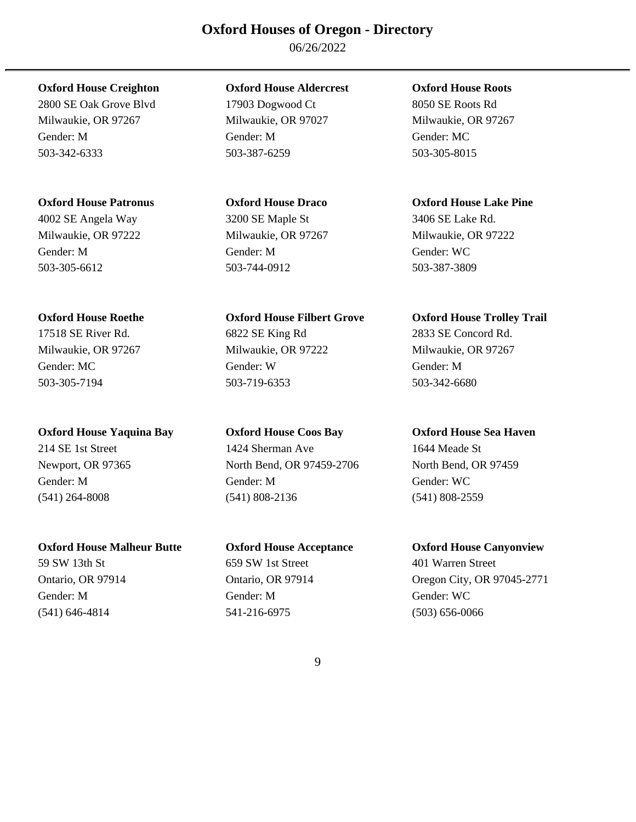06/26/2022

2800 SE Oak Grove Blvd 17903 Dogwood Ct 8050 SE Roots Rd Milwaukie, OR 97267 Milwaukie, OR 97027 Milwaukie, OR 97267 Gender: M Gender: M Gender: MC 503-342-6333 503-387-6259 503-305-8015

4002 SE Angela Way 3200 SE Maple St 3406 SE Lake Rd. Milwaukie, OR 97222 Milwaukie, OR 97267 Milwaukie, OR 97222 Gender: M Gender: M Gender: WC 503-305-6612 503-744-0912 503-387-3809

### **Oxford House Yaquina Bay Oxford House Coos Bay Oxford House Sea Haven**

### **Oxford House Malheur Butte Oxford House Acceptance Oxford House Canyonview**

### **Oxford House Creighton Oxford House Aldercrest Oxford House Roots**

17518 SE River Rd. 6822 SE King Rd 2833 SE Concord Rd. Milwaukie, OR 97267 Milwaukie, OR 97222 Milwaukie, OR 97267 Gender: MC Gender: W Gender: M 503-305-7194 503-719-6353 503-342-6680

### 214 SE 1st Street 1424 Sherman Ave 1644 Meade St Newport, OR 97365 North Bend, OR 97459-2706 North Bend, OR 97459 Gender: M Gender: M Gender: WC (541) 264-8008 (541) 808-2136 (541) 808-2559

# 59 SW 13th St 659 SW 1st Street 401 Warren Street Gender: M Gender: M Gender: WC (541) 646-4814 541-216-6975 (503) 656-0066

### **Oxford House Patronus Oxford House Draco Oxford House Lake Pine**

### **Oxford House Roethe Oxford House Filbert Grove Oxford House Trolley Trail**

Ontario, OR 97914 Ontario, OR 97914 Oregon City, OR 97045-2771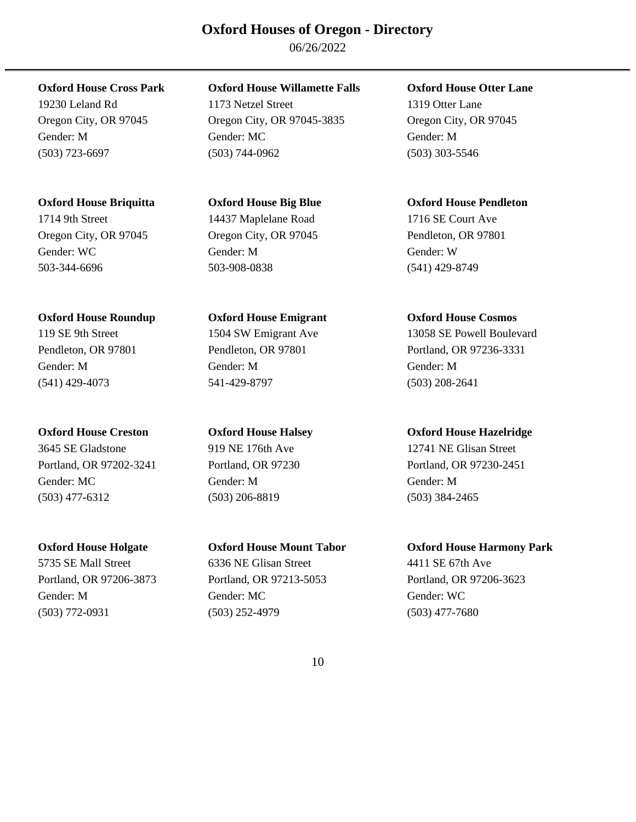06/26/2022

### **Oxford House Briquitta Oxford House Big Blue Oxford House Pendleton**

Gender: WC Gender: M Gender: M Gender: W Gender: W 503-344-6696 503-908-0838 (541) 429-8749

### **Oxford House Roundup Oxford House Emigrant Oxford House Cosmos**

3645 SE Gladstone 919 NE 176th Ave 12741 NE Glisan Street Portland, OR 97202-3241 Portland, OR 97230 Portland, OR 97230-2451 Gender: MC Gender: M Gender: M (503) 477-6312 (503) 206-8819 (503) 384-2465

5735 SE Mall Street 6336 NE Glisan Street 4411 SE 67th Ave

### **Oxford House Cross Park Oxford House Willamette Falls Oxford House Otter Lane**

19230 Leland Rd 1173 Netzel Street 1319 Otter Lane Oregon City, OR 97045 Oregon City, OR 97045-3835 Oregon City, OR 97045 Gender: M Gender: MC Gender: M (503) 723-6697 (503) 744-0962 (503) 303-5546

# 1714 9th Street 14437 Maplelane Road 1716 SE Court Ave Oregon City, OR 97045 Oregon City, OR 97045 Pendleton, OR 97801

Gender: M Gender: M Gender: M (541) 429-4073 541-429-8797 (503) 208-2641

Portland, OR 97206-3873 Portland, OR 97213-5053 Portland, OR 97206-3623 Gender: M Gender: MC Gender: WC (503) 772-0931 (503) 252-4979 (503) 477-7680

119 SE 9th Street 1504 SW Emigrant Ave 13058 SE Powell Boulevard Pendleton, OR 97801 Pendleton, OR 97801 Portland, OR 97236-3331

### **Oxford House Creston Oxford House Halsey Oxford House Hazelridge**

### **Oxford House Holgate Oxford House Mount Tabor Oxford House Harmony Park**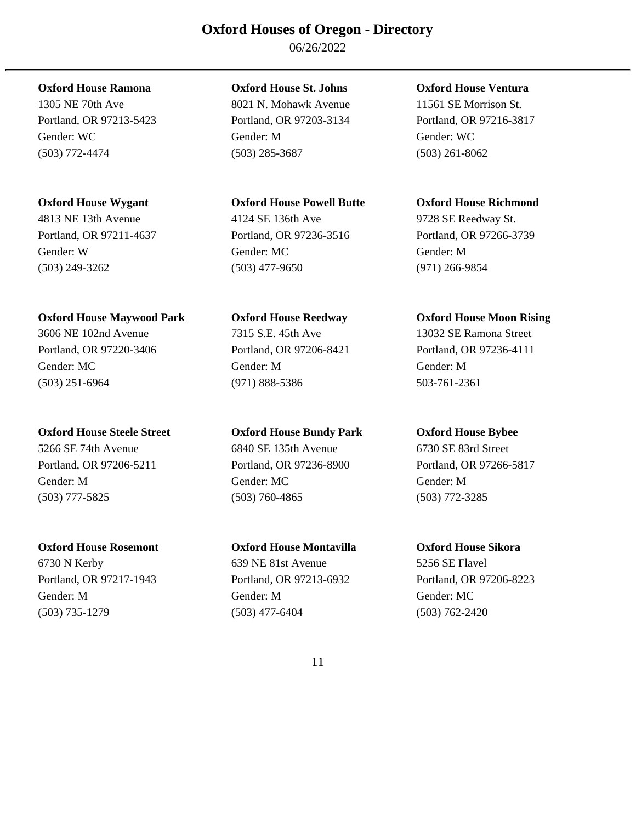06/26/2022

Gender: W Gender: MC Gender: M (503) 249-3262 (503) 477-9650 (971) 266-9854

### **Oxford House Maywood Park Oxford House Reedway Oxford House Moon Rising**

3606 NE 102nd Avenue 7315 S.E. 45th Ave 13032 SE Ramona Street Portland, OR 97220-3406 Portland, OR 97206-8421 Portland, OR 97236-4111 Gender: MC Gender: M Gender: M (503) 251-6964 (971) 888-5386 503-761-2361

### **Oxford House Steele Street Oxford House Bundy Park Oxford House Bybee**

5266 SE 74th Avenue 6840 SE 135th Avenue 6730 SE 83rd Street Portland, OR 97206-5211 Portland, OR 97236-8900 Portland, OR 97266-5817 Gender: M Gender: MC Gender: M (503) 777-5825 (503) 760-4865 (503) 772-3285

6730 N Kerby 639 NE 81st Avenue 5256 SE Flavel Portland, OR 97217-1943 Portland, OR 97213-6932 Portland, OR 97206-8223 Gender: M Gender: M Gender: MC (503) 735-1279 (503) 477-6404 (503) 762-2420

### **Oxford House Ramona Oxford House St. Johns Oxford House Ventura**

1305 NE 70th Ave 8021 N. Mohawk Avenue 11561 SE Morrison St. Portland, OR 97213-5423 Portland, OR 97203-3134 Portland, OR 97216-3817 Gender: WC Gender: M Gender: WC (503) 772-4474 (503) 285-3687 (503) 261-8062

# 4813 NE 13th Avenue 4124 SE 136th Ave 9728 SE Reedway St.

### **Oxford House Rosemont Oxford House Montavilla Oxford House Sikora**

### **Oxford House Wygant Oxford House Powell Butte Oxford House Richmond**

Portland, OR 97211-4637 Portland, OR 97236-3516 Portland, OR 97266-3739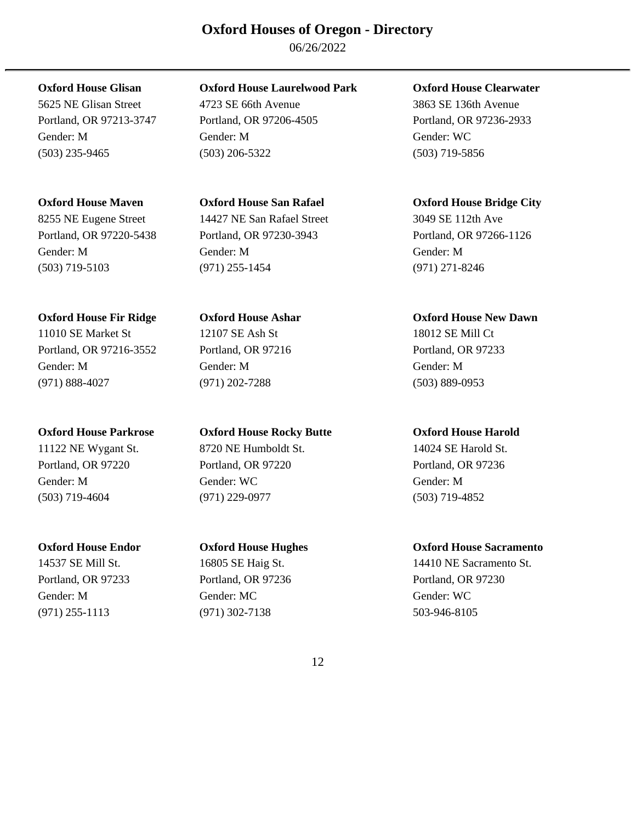06/26/2022

8255 NE Eugene Street 14427 NE San Rafael Street 3049 SE 112th Ave

### **Oxford House Fir Ridge Oxford House Ashar Oxford House New Dawn**

11010 SE Market St 12107 SE Ash St 18012 SE Mill Ct Portland, OR 97216-3552 Portland, OR 97216 Portland, OR 97233 Gender: M Gender: M Gender: M (971) 888-4027 (971) 202-7288 (503) 889-0953

### **Oxford House Glisan Oxford House Laurelwood Park Oxford House Clearwater**

5625 NE Glisan Street 4723 SE 66th Avenue 3863 SE 136th Avenue Portland, OR 97213-3747 Portland, OR 97206-4505 Portland, OR 97236-2933 Gender: M Gender: M Gender: WC (503) 235-9465 (503) 206-5322 (503) 719-5856

Portland, OR 97220-5438 Portland, OR 97230-3943 Portland, OR 97266-1126 Gender: M Gender: M Gender: M (503) 719-5103 (971) 255-1454 (971) 271-8246

### **Oxford House Parkrose Oxford House Rocky Butte Oxford House Harold**

11122 NE Wygant St. 8720 NE Humboldt St. 14024 SE Harold St. Portland, OR 97220 Portland, OR 97220 Portland, OR 97236 Gender: M Gender: WC Gender: M (503) 719-4604 (971) 229-0977 (503) 719-4852

Portland, OR 97233 Portland, OR 97236 Portland, OR 97230 Gender: M Gender: MC Gender: WC (971) 255-1113 (971) 302-7138 503-946-8105

### **Oxford House Maven Oxford House San Rafael Oxford House Bridge City**

### **Oxford House Endor Oxford House Hughes Oxford House Sacramento**

14537 SE Mill St. 16805 SE Haig St. 14410 NE Sacramento St.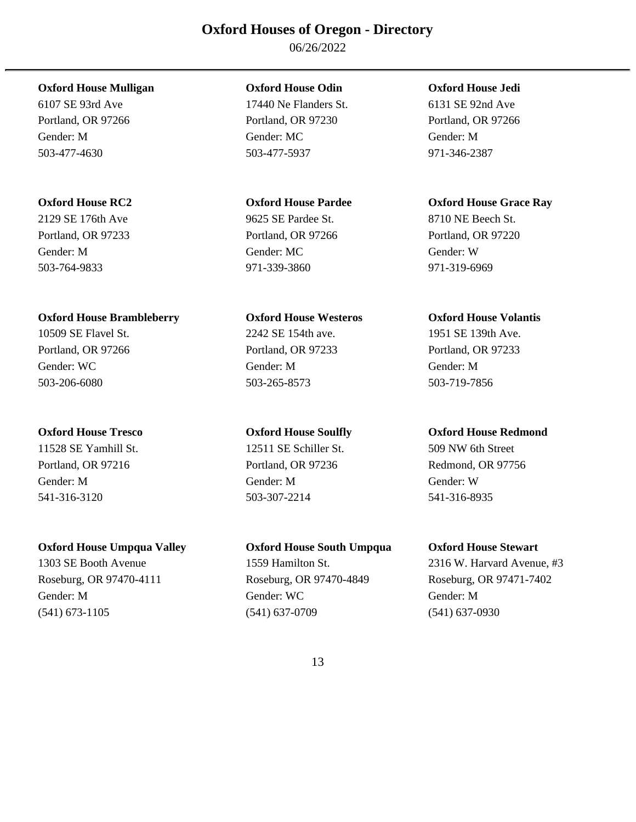06/26/2022

### **Oxford House Mulligan Oxford House Odin Oxford House Jedi**

2129 SE 176th Ave 9625 SE Pardee St. 8710 NE Beech St. Gender: M Gender: MC Gender: W 503-764-9833 971-339-3860 971-319-6969

### **Oxford House Brambleberry Oxford House Westeros Oxford House Volantis**

Portland, OR 97216 **Portland, OR 97236** Redmond, OR 97756 Gender: M Gender: M Gender: W 541-316-3120 503-307-2214 541-316-8935

6107 SE 93rd Ave 17440 Ne Flanders St. 6131 SE 92nd Ave Portland, OR 97266 Portland, OR 97230 Portland, OR 97266 Gender: M Gender: MC Gender: M 503-477-4630 503-477-5937 971-346-2387

10509 SE Flavel St. 2242 SE 154th ave. 1951 SE 139th Ave. Portland, OR 97266 Portland, OR 97233 Portland, OR 97233 Gender: WC Gender: M Gender: M 503-206-6080 503-265-8573 503-719-7856

11528 SE Yamhill St. 12511 SE Schiller St. 509 NW 6th Street

### **Oxford House Umpqua Valley Oxford House South Umpqua Oxford House Stewart**

Roseburg, OR 97470-4111 Roseburg, OR 97470-4849 Roseburg, OR 97471-7402 Gender: M Gender: WC Gender: M (541) 673-1105 (541) 637-0709 (541) 637-0930

### **Oxford House RC2 Oxford House Pardee Oxford House Grace Ray**

Portland, OR 97233 Portland, OR 97266 Portland, OR 97220

### **Oxford House Tresco Oxford House Soulfly Oxford House Redmond**

1303 SE Booth Avenue 1559 Hamilton St. 2316 W. Harvard Avenue, #3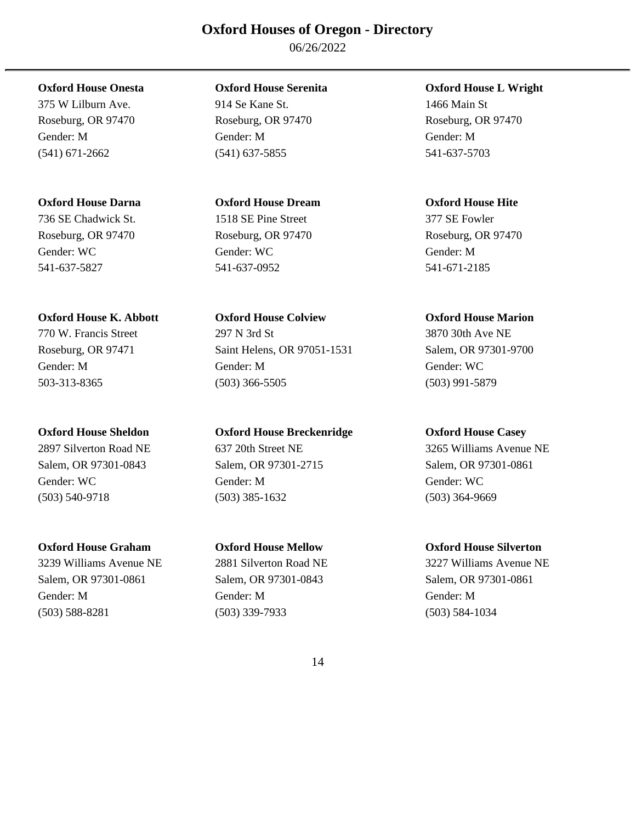06/26/2022

375 W Lilburn Ave. 914 Se Kane St. 1466 Main St

### **Oxford House Darna Oxford House Dream Oxford House Hite**

Roseburg, OR 97470 Roseburg, OR 97470 Roseburg, OR 97470 Gender: WC Gender: WC Gender: WC Gender: M 541-637-5827 541-637-0952 541-671-2185

### **Oxford House K. Abbott Oxford House Colview Oxford House Marion**

Salem, OR 97301-0843 Salem, OR 97301-2715 Salem, OR 97301-0861 Gender: WC Gender: M Gender: M Gender: WC Gender: WC Gender: WC (503) 540-9718 (503) 385-1632 (503) 364-9669

Salem, OR 97301-0861 Salem, OR 97301-0843 Salem, OR 97301-0861 Gender: M Gender: M Gender: M (503) 588-8281 (503) 339-7933 (503) 584-1034

Gender: M Gender: M Gender: M (541) 671-2662 (541) 637-5855 541-637-5703

# 736 SE Chadwick St. 1518 SE Pine Street 377 SE Fowler

770 W. Francis Street 297 N 3rd St 3870 30th Ave NE Roseburg, OR 97471 Saint Helens, OR 97051-1531 Salem, OR 97301-9700 Gender: M Gender: M Gender: WC 503-313-8365 (503) 366-5505 (503) 991-5879

### **Oxford House Sheldon Oxford House Breckenridge Oxford House Casey**

# **Oxford House Onesta Oxford House Serenita Oxford House L Wright**  Roseburg, OR 97470 Roseburg, OR 97470 Roseburg, OR 97470

2897 Silverton Road NE 637 20th Street NE 3265 Williams Avenue NE

### **Oxford House Graham Oxford House Mellow Oxford House Silverton**

3239 Williams Avenue NE 2881 Silverton Road NE 3227 Williams Avenue NE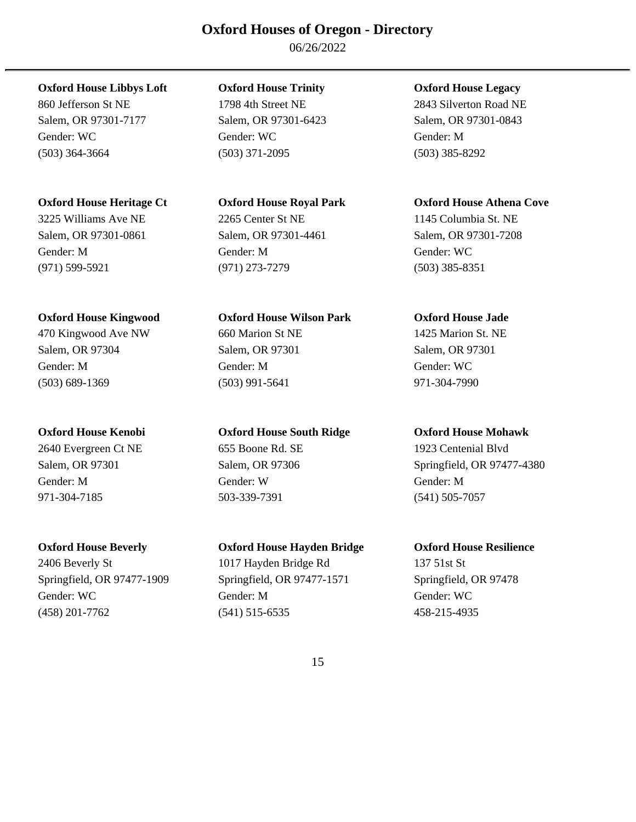06/26/2022

### **Oxford House Libbys Loft Oxford House Trinity Oxford House Legacy**

Salem, OR 97301-7177 Salem, OR 97301-6423 Salem, OR 97301-0843 Gender: WC Gender: WC Gender: M (503) 364-3664 (503) 371-2095 (503) 385-8292

Gender: M Gender: M Gender: WC (971) 599-5921 (971) 273-7279 (503) 385-8351

### **Oxford House Kingwood Oxford House Wilson Park Oxford House Jade**

Gender: M Gender: M Gender: WC (503) 689-1369 (503) 991-5641 971-304-7990

2640 Evergreen Ct NE 655 Boone Rd. SE 1923 Centenial Blvd Gender: M Gender: W Gender: M 971-304-7185 503-339-7391 (541) 505-7057

2406 Beverly St 1017 Hayden Bridge Rd 137 51st St Springfield, OR 97477-1909 Springfield, OR 97477-1571 Springfield, OR 97478 Gender: WC Gender: M Gender: M Gender: WC Gender: WC Gender: WC Gender: WC Gender: WC Gender: WC Gender: WC Gender: WC Gender: WC Gender: WC Gender: WC Gender: WC Gender: WC Gender: WC Gender: WC Gender: WC Gender: WC Gend (458) 201-7762 (541) 515-6535 458-215-4935

860 Jefferson St NE 1798 4th Street NE 2843 Silverton Road NE

# 3225 Williams Ave NE 2265 Center St NE 1145 Columbia St. NE Salem, OR 97301-0861 Salem, OR 97301-4461 Salem, OR 97301-7208

# 470 Kingwood Ave NW 660 Marion St NE 1425 Marion St. NE Salem, OR 97304 Salem, OR 97301 Salem, OR 97301

### **Oxford House Kenobi Oxford House South Ridge Oxford House Mohawk**

### **Oxford House Beverly Oxford House Hayden Bridge Oxford House Resilience**

### **Oxford House Heritage Ct Oxford House Royal Park Oxford House Athena Cove**

Salem, OR 97301 Salem, OR 97306 Springfield, OR 97477-4380